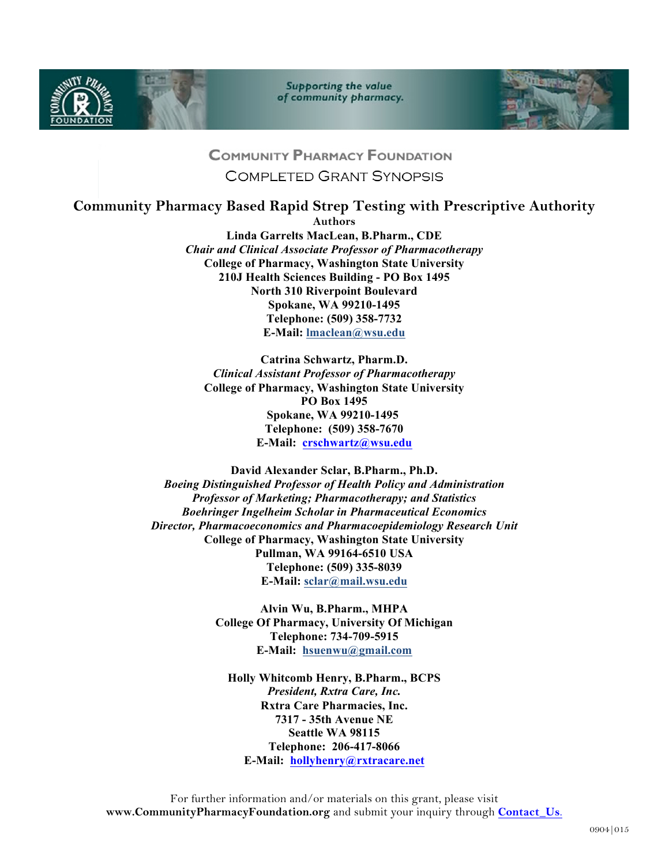



**Supporting the value** of community pharmacy.



## **COMMUNITY PHARMACY FOUNDATION**

**COMPLETED GRANT SYNOPSIS** 

## **Community Pharmacy Based Rapid Strep Testing with Prescriptive Authority**

**Authors**

**Linda Garrelts MacLean, B.Pharm., CDE** *Chair and Clinical Associate Professor of Pharmacotherapy* **College of Pharmacy, Washington State University 210J Health Sciences Building - PO Box 1495 North 310 Riverpoint Boulevard Spokane, WA 99210-1495 Telephone: (509) 358-7732 E-Mail: lmaclean@wsu.edu**

**Catrina Schwartz, Pharm.D.** *Clinical Assistant Professor of Pharmacotherapy* **College of Pharmacy, Washington State University PO Box 1495 Spokane, WA 99210-1495 Telephone: (509) 358-7670 E-Mail: crschwartz@wsu.edu**

**David Alexander Sclar, B.Pharm., Ph.D.** *Boeing Distinguished Professor of Health Policy and Administration Professor of Marketing; Pharmacotherapy; and Statistics Boehringer Ingelheim Scholar in Pharmaceutical Economics Director, Pharmacoeconomics and Pharmacoepidemiology Research Unit* **College of Pharmacy, Washington State University Pullman, WA 99164-6510 USA Telephone: (509) 335-8039 E-Mail: sclar@mail.wsu.edu**

> **Alvin Wu, B.Pharm., MHPA College Of Pharmacy, University Of Michigan Telephone: 734-709-5915 E-Mail: hsuenwu@gmail.com**

**Holly Whitcomb Henry, B.Pharm., BCPS** *President, Rxtra Care, Inc.*  **Rxtra Care Pharmacies, Inc. 7317 - 35th Avenue NE Seattle WA 98115 Telephone: 206-417-8066 E-Mail: hollyhenry@rxtracare.net**

For further information and/or materials on this grant, please visit **www.CommunityPharmacyFoundation.org** and submit your inquiry through **Contact\_Us**.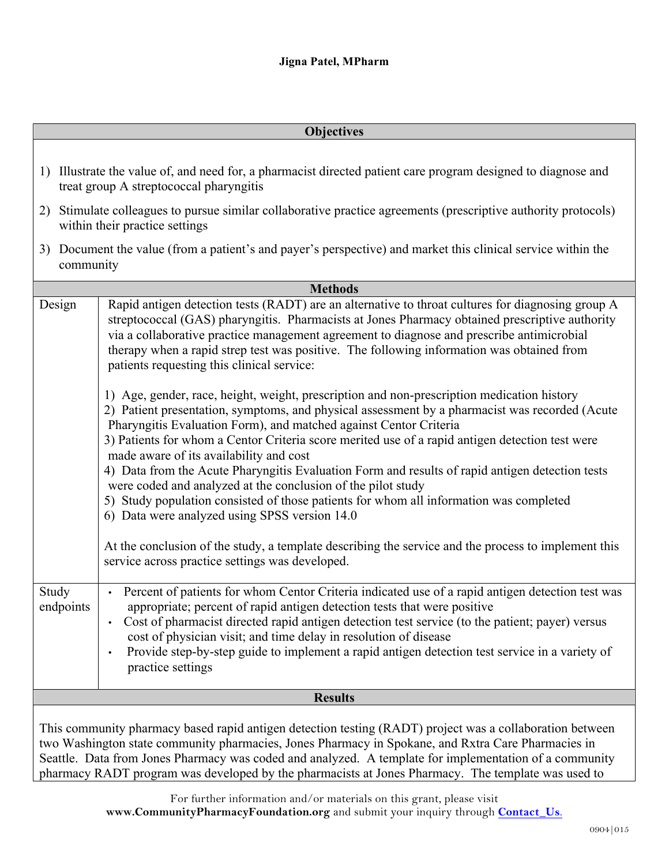| <b>Objectives</b>  |                                                                                                                                                                                                                                                                                                                                                                                                                                                                                                                                                                                                                                                                                                                                                                                                                                                                                         |
|--------------------|-----------------------------------------------------------------------------------------------------------------------------------------------------------------------------------------------------------------------------------------------------------------------------------------------------------------------------------------------------------------------------------------------------------------------------------------------------------------------------------------------------------------------------------------------------------------------------------------------------------------------------------------------------------------------------------------------------------------------------------------------------------------------------------------------------------------------------------------------------------------------------------------|
|                    | 1) Illustrate the value of, and need for, a pharmacist directed patient care program designed to diagnose and<br>treat group A streptococcal pharyngitis                                                                                                                                                                                                                                                                                                                                                                                                                                                                                                                                                                                                                                                                                                                                |
| 2)                 | Stimulate colleagues to pursue similar collaborative practice agreements (prescriptive authority protocols)<br>within their practice settings                                                                                                                                                                                                                                                                                                                                                                                                                                                                                                                                                                                                                                                                                                                                           |
| 3)<br>community    | Document the value (from a patient's and payer's perspective) and market this clinical service within the                                                                                                                                                                                                                                                                                                                                                                                                                                                                                                                                                                                                                                                                                                                                                                               |
| <b>Methods</b>     |                                                                                                                                                                                                                                                                                                                                                                                                                                                                                                                                                                                                                                                                                                                                                                                                                                                                                         |
| Design             | Rapid antigen detection tests (RADT) are an alternative to throat cultures for diagnosing group A<br>streptococcal (GAS) pharyngitis. Pharmacists at Jones Pharmacy obtained prescriptive authority<br>via a collaborative practice management agreement to diagnose and prescribe antimicrobial<br>therapy when a rapid strep test was positive. The following information was obtained from<br>patients requesting this clinical service:                                                                                                                                                                                                                                                                                                                                                                                                                                             |
|                    | 1) Age, gender, race, height, weight, prescription and non-prescription medication history<br>2) Patient presentation, symptoms, and physical assessment by a pharmacist was recorded (Acute<br>Pharyngitis Evaluation Form), and matched against Centor Criteria<br>3) Patients for whom a Centor Criteria score merited use of a rapid antigen detection test were<br>made aware of its availability and cost<br>4) Data from the Acute Pharyngitis Evaluation Form and results of rapid antigen detection tests<br>were coded and analyzed at the conclusion of the pilot study<br>5) Study population consisted of those patients for whom all information was completed<br>6) Data were analyzed using SPSS version 14.0<br>At the conclusion of the study, a template describing the service and the process to implement this<br>service across practice settings was developed. |
| Study<br>endpoints | Percent of patients for whom Centor Criteria indicated use of a rapid antigen detection test was<br>appropriate; percent of rapid antigen detection tests that were positive<br>Cost of pharmacist directed rapid antigen detection test service (to the patient; payer) versus<br>cost of physician visit; and time delay in resolution of disease<br>Provide step-by-step guide to implement a rapid antigen detection test service in a variety of<br>practice settings                                                                                                                                                                                                                                                                                                                                                                                                              |
| <b>Results</b>     |                                                                                                                                                                                                                                                                                                                                                                                                                                                                                                                                                                                                                                                                                                                                                                                                                                                                                         |
|                    | This community pharmacy based rapid antigen detection testing (RADT) project was a collaboration between<br>two Washington state community pharmacies, Jones Pharmacy in Spokane, and Rxtra Care Pharmacies in<br>Seattle. Data from Jones Pharmacy was coded and analyzed. A template for implementation of a community<br>pharmacy RADT program was developed by the pharmacists at Jones Pharmacy. The template was used to                                                                                                                                                                                                                                                                                                                                                                                                                                                          |

For further information and/or materials on this grant, please visit **www.CommunityPharmacyFoundation.org** and submit your inquiry through **Contact\_Us**.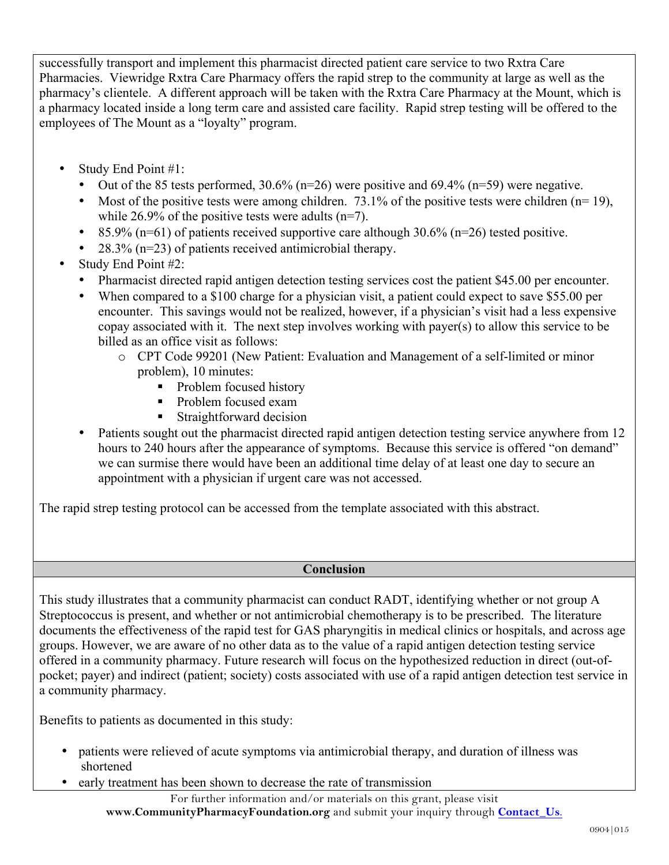successfully transport and implement this pharmacist directed patient care service to two Rxtra Care Pharmacies. Viewridge Rxtra Care Pharmacy offers the rapid strep to the community at large as well as the pharmacy's clientele. A different approach will be taken with the Rxtra Care Pharmacy at the Mount, which is a pharmacy located inside a long term care and assisted care facility. Rapid strep testing will be offered to the employees of The Mount as a "loyalty" program.

- Study End Point #1:
	- Out of the 85 tests performed,  $30.6\%$  (n=26) were positive and  $69.4\%$  (n=59) were negative.
	- Most of the positive tests were among children.  $73.1\%$  of the positive tests were children (n= 19), while 26.9% of the positive tests were adults (n=7).
	- 85.9% ( $n=61$ ) of patients received supportive care although 30.6% ( $n=26$ ) tested positive.
	- $28.3\%$  (n=23) of patients received antimicrobial therapy.
- Study End Point #2:
	- Pharmacist directed rapid antigen detection testing services cost the patient \$45.00 per encounter.
	- When compared to a \$100 charge for a physician visit, a patient could expect to save \$55.00 per encounter. This savings would not be realized, however, if a physician's visit had a less expensive copay associated with it. The next step involves working with payer(s) to allow this service to be billed as an office visit as follows:
		- o CPT Code 99201 (New Patient: Evaluation and Management of a self-limited or minor problem), 10 minutes:
			- Problem focused history
			- Problem focused exam
			- Straightforward decision
	- Patients sought out the pharmacist directed rapid antigen detection testing service anywhere from 12 hours to 240 hours after the appearance of symptoms. Because this service is offered "on demand" we can surmise there would have been an additional time delay of at least one day to secure an appointment with a physician if urgent care was not accessed.

The rapid strep testing protocol can be accessed from the template associated with this abstract.

## **Conclusion**

This study illustrates that a community pharmacist can conduct RADT, identifying whether or not group A Streptococcus is present, and whether or not antimicrobial chemotherapy is to be prescribed. The literature documents the effectiveness of the rapid test for GAS pharyngitis in medical clinics or hospitals, and across age groups. However, we are aware of no other data as to the value of a rapid antigen detection testing service offered in a community pharmacy. Future research will focus on the hypothesized reduction in direct (out-ofpocket; payer) and indirect (patient; society) costs associated with use of a rapid antigen detection test service in a community pharmacy.

Benefits to patients as documented in this study:

- patients were relieved of acute symptoms via antimicrobial therapy, and duration of illness was shortened
- early treatment has been shown to decrease the rate of transmission

For further information and/or materials on this grant, please visit **www.CommunityPharmacyFoundation.org** and submit your inquiry through **Contact\_Us**.